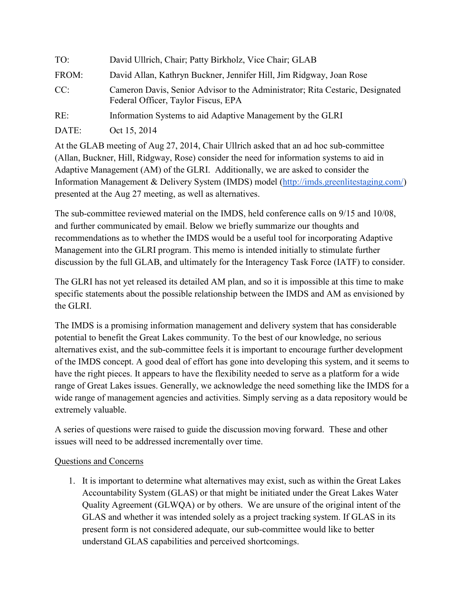| TO:   | David Ullrich, Chair; Patty Birkholz, Vice Chair; GLAB                                                               |
|-------|----------------------------------------------------------------------------------------------------------------------|
| FROM: | David Allan, Kathryn Buckner, Jennifer Hill, Jim Ridgway, Joan Rose                                                  |
| CC:   | Cameron Davis, Senior Advisor to the Administrator; Rita Cestaric, Designated<br>Federal Officer, Taylor Fiscus, EPA |
| RE:   | Information Systems to aid Adaptive Management by the GLRI                                                           |
| DATE: | Oct 15, 2014                                                                                                         |

At the GLAB meeting of Aug 27, 2014, Chair Ullrich asked that an ad hoc sub-committee (Allan, Buckner, Hill, Ridgway, Rose) consider the need for information systems to aid in Adaptive Management (AM) of the GLRI. Additionally, we are asked to consider the Information Management & Delivery System (IMDS) model (http://imds.greenlitestaging.com/) presented at the Aug 27 meeting, as well as alternatives.

The sub-committee reviewed material on the IMDS, held conference calls on 9/15 and 10/08, and further communicated by email. Below we briefly summarize our thoughts and recommendations as to whether the IMDS would be a useful tool for incorporating Adaptive Management into the GLRI program. This memo is intended initially to stimulate further discussion by the full GLAB, and ultimately for the Interagency Task Force (IATF) to consider.

The GLRI has not yet released its detailed AM plan, and so it is impossible at this time to make specific statements about the possible relationship between the IMDS and AM as envisioned by the GLRI.

The IMDS is a promising information management and delivery system that has considerable potential to benefit the Great Lakes community. To the best of our knowledge, no serious alternatives exist, and the sub-committee feels it is important to encourage further development of the IMDS concept. A good deal of effort has gone into developing this system, and it seems to have the right pieces. It appears to have the flexibility needed to serve as a platform for a wide range of Great Lakes issues. Generally, we acknowledge the need something like the IMDS for a wide range of management agencies and activities. Simply serving as a data repository would be extremely valuable.

A series of questions were raised to guide the discussion moving forward. These and other issues will need to be addressed incrementally over time.

## Questions and Concerns

1. It is important to determine what alternatives may exist, such as within the Great Lakes Accountability System (GLAS) or that might be initiated under the Great Lakes Water Quality Agreement (GLWQA) or by others. We are unsure of the original intent of the GLAS and whether it was intended solely as a project tracking system. If GLAS in its present form is not considered adequate, our sub-committee would like to better understand GLAS capabilities and perceived shortcomings.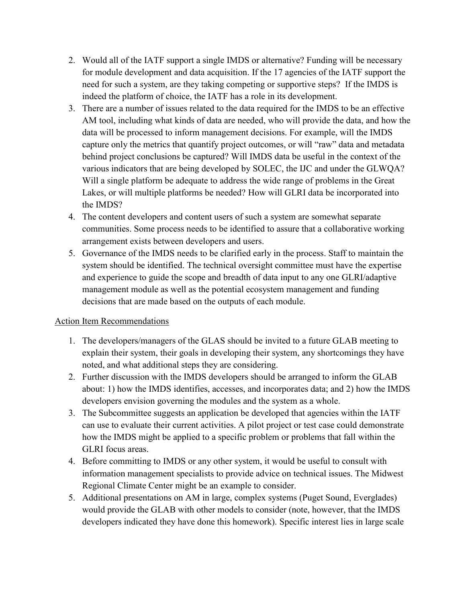- 2. Would all of the IATF support a single IMDS or alternative? Funding will be necessary for module development and data acquisition. If the 17 agencies of the IATF support the need for such a system, are they taking competing or supportive steps? If the IMDS is indeed the platform of choice, the IATF has a role in its development.
- 3. There are a number of issues related to the data required for the IMDS to be an effective AM tool, including what kinds of data are needed, who will provide the data, and how the data will be processed to inform management decisions. For example, will the IMDS capture only the metrics that quantify project outcomes, or will "raw" data and metadata behind project conclusions be captured? Will IMDS data be useful in the context of the various indicators that are being developed by SOLEC, the IJC and under the GLWQA? Will a single platform be adequate to address the wide range of problems in the Great Lakes, or will multiple platforms be needed? How will GLRI data be incorporated into the IMDS?
- 4. The content developers and content users of such a system are somewhat separate communities. Some process needs to be identified to assure that a collaborative working arrangement exists between developers and users.
- 5. Governance of the IMDS needs to be clarified early in the process. Staff to maintain the system should be identified. The technical oversight committee must have the expertise and experience to guide the scope and breadth of data input to any one GLRI/adaptive management module as well as the potential ecosystem management and funding decisions that are made based on the outputs of each module.

## Action Item Recommendations

- 1. The developers/managers of the GLAS should be invited to a future GLAB meeting to explain their system, their goals in developing their system, any shortcomings they have noted, and what additional steps they are considering.
- 2. Further discussion with the IMDS developers should be arranged to inform the GLAB about: 1) how the IMDS identifies, accesses, and incorporates data; and 2) how the IMDS developers envision governing the modules and the system as a whole.
- 3. The Subcommittee suggests an application be developed that agencies within the IATF can use to evaluate their current activities. A pilot project or test case could demonstrate how the IMDS might be applied to a specific problem or problems that fall within the GLRI focus areas.
- 4. Before committing to IMDS or any other system, it would be useful to consult with information management specialists to provide advice on technical issues. The Midwest Regional Climate Center might be an example to consider.
- 5. Additional presentations on AM in large, complex systems (Puget Sound, Everglades) would provide the GLAB with other models to consider (note, however, that the IMDS developers indicated they have done this homework). Specific interest lies in large scale